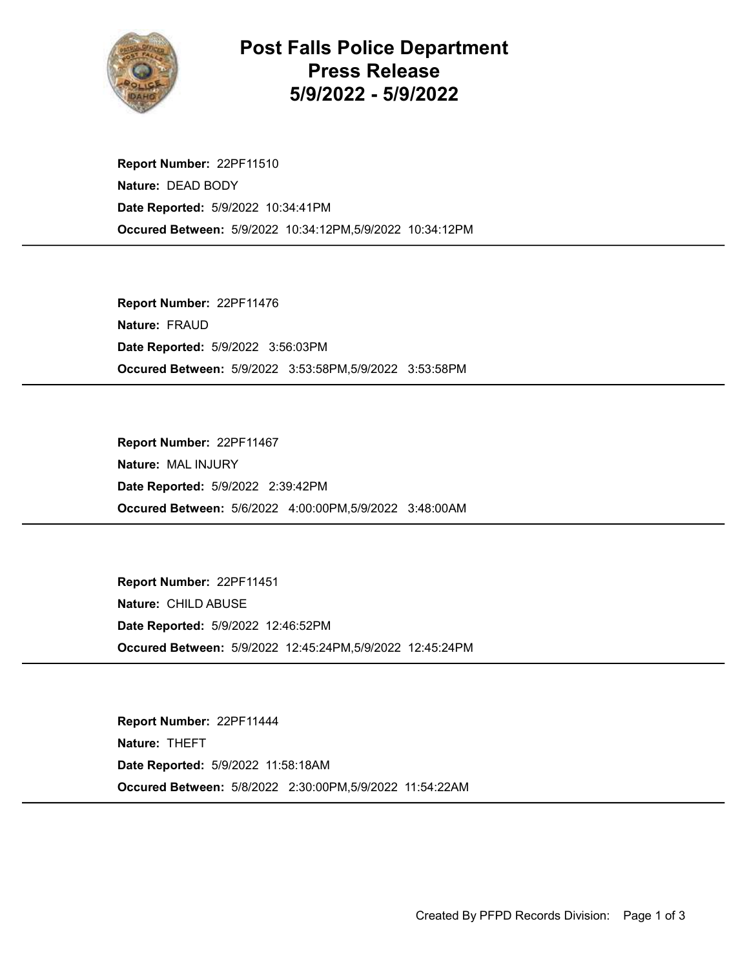

## Post Falls Police Department Press Release 5/9/2022 - 5/9/2022

Occured Between: 5/9/2022 10:34:12PM,5/9/2022 10:34:12PM Report Number: 22PF11510 Nature: DEAD BODY Date Reported: 5/9/2022 10:34:41PM

Occured Between: 5/9/2022 3:53:58PM,5/9/2022 3:53:58PM Report Number: 22PF11476 Nature: FRAUD Date Reported: 5/9/2022 3:56:03PM

Occured Between: 5/6/2022 4:00:00PM,5/9/2022 3:48:00AM Report Number: 22PF11467 Nature: MAL INJURY Date Reported: 5/9/2022 2:39:42PM

Occured Between: 5/9/2022 12:45:24PM,5/9/2022 12:45:24PM Report Number: 22PF11451 Nature: CHILD ABUSE Date Reported: 5/9/2022 12:46:52PM

Occured Between: 5/8/2022 2:30:00PM,5/9/2022 11:54:22AM Report Number: 22PF11444 Nature: THEFT Date Reported: 5/9/2022 11:58:18AM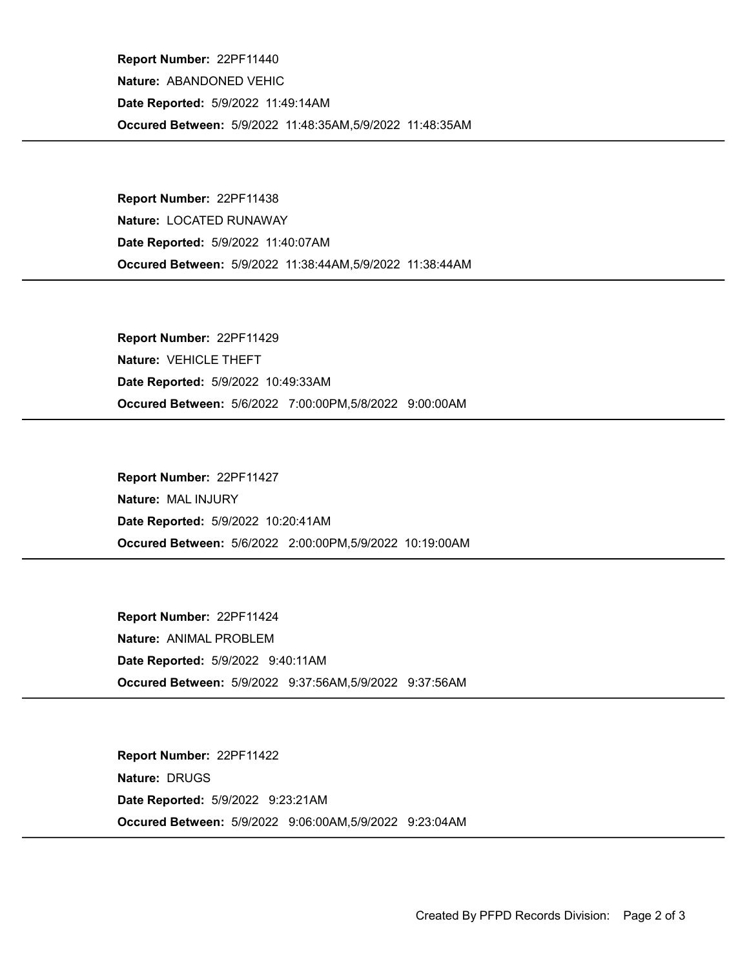Occured Between: 5/9/2022 11:48:35AM,5/9/2022 11:48:35AM Report Number: 22PF11440 Nature: ABANDONED VEHIC Date Reported: 5/9/2022 11:49:14AM

Occured Between: 5/9/2022 11:38:44AM,5/9/2022 11:38:44AM Report Number: 22PF11438 Nature: LOCATED RUNAWAY Date Reported: 5/9/2022 11:40:07AM

Occured Between: 5/6/2022 7:00:00PM,5/8/2022 9:00:00AM Report Number: 22PF11429 Nature: VEHICLE THEFT Date Reported: 5/9/2022 10:49:33AM

Occured Between: 5/6/2022 2:00:00PM,5/9/2022 10:19:00AM Report Number: 22PF11427 Nature: MAL INJURY Date Reported: 5/9/2022 10:20:41AM

Occured Between: 5/9/2022 9:37:56AM,5/9/2022 9:37:56AM Report Number: 22PF11424 Nature: ANIMAL PROBLEM Date Reported: 5/9/2022 9:40:11AM

Occured Between: 5/9/2022 9:06:00AM,5/9/2022 9:23:04AM Report Number: 22PF11422 Nature: DRUGS Date Reported: 5/9/2022 9:23:21AM